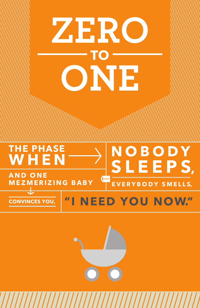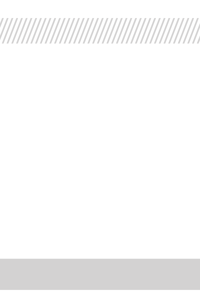#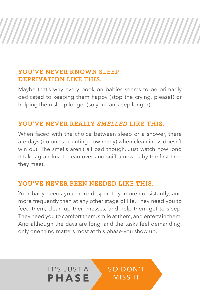## **YOU'VE NEVER KNOWN SLEEP DEPRIVATION LIKE THIS.**

Maybe that's why every book on babies seems to be primarily dedicated to keeping them happy (stop the crying, please!) or helping them sleep longer (so you can sleep longer).

## **YOU'VE NEVER REALLY** *SMELLED* **LIKE THIS.**

When faced with the choice between sleep or a shower, there are days (no one's counting how many) when cleanliness doesn't win out. The smells aren't all bad though. Just watch how long it takes grandma to lean over and sniff a new baby the first time they meet.

## **YOU'VE NEVER BEEN NEEDED LIKE THIS.**

IT'S JUST A **PHASE**

Your baby needs you more desperately, more consistently, and more frequently than at any other stage of life. They need you to feed them, clean up their messes, and help them get to sleep. They need you to comfort them, smile at them, and entertain them. And although the days are long, and the tasks feel demanding, only one thing matters most at this phase-you show up.

> SO DON'T MISS IT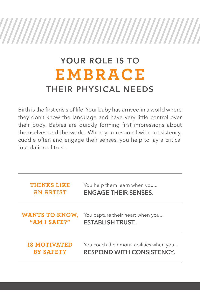## ,,,,,,,,,,,,,,,,,,,,,,,,,,,,,,,,,,,,,

## **YOUR ROLE IS TO EMBRACE THEIR PHYSICAL NEEDS**

Birth is the first crisis of life. Your baby has arrived in a world where they don't know the language and have very little control over their body. Babies are quickly forming first impressions about themselves and the world. When you respond with consistency, cuddle often and engage their senses, you help to lay a critical foundation of trust.

| <b>THINKS LIKE</b>    | You help them learn when you             |  |
|-----------------------|------------------------------------------|--|
| <b>AN ARTIST</b>      | <b>ENGAGE THEIR SENSES.</b>              |  |
| <b>WANTS TO KNOW,</b> | You capture their heart when you         |  |
| "AM I SAFE?"          | <b>ESTABLISH TRUST.</b>                  |  |
| IS MOTIVATED          | You coach their moral abilities when you |  |
| <b>BY SAFETY</b>      | <b>RESPOND WITH CONSISTENCY.</b>         |  |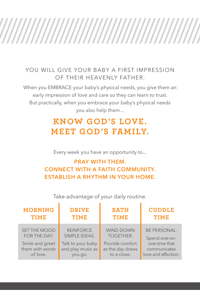## ,,,,,,,,,,,,,,,,,,,,,,,,,,,,,,,,,,,,,

## YOU WILL GIVE YOUR BABY A FIRST IMPRESSION OF THEIR HEAVENLY FATHER.

When you EMBRACE your baby's physical needs, you give them an early impression of love and care so they can learn to trust. But practically, when you embrace your baby's physical needs you also help them...

## **KNOW GOD'S LOVE. MEET GOD'S FAMILY.**

Every week you have an opportunity to...

## **PRAY WITH THEM. CONNECT WITH A FAITH COMMUNITY. ESTABLISH A RHYTHM IN YOUR HOME.**

Take advantage of your daily routine.

| <b>MORNING</b>  | <b>DRIVE</b>      | <b>BATH</b>      | <b>CUDDLE</b>       |
|-----------------|-------------------|------------------|---------------------|
| <b>TIME</b>     | <b>TIME</b>       | <b>TIME</b>      | <b>TIME</b>         |
| SET THE MOOD    | <b>REINFORCE</b>  | <b>WIND DOWN</b> | <b>BE PERSONAL.</b> |
| FOR THE DAY.    | SIMPLE IDEAS.     | <b>TOGETHER.</b> | Spend one-on-       |
| Smile and greet | Talk to your baby | Provide comfort  | one time that       |
| them with words | and play music as | as the day draws | communicates        |
| of love.        | you go.           | to a close.      | love and affection. |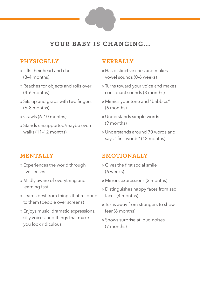## **YOUR BABY IS CHANGING...**

### **PHYSICALLY**

- » Lifts their head and chest (3–4 months)
- » Reaches for objects and rolls over (4–6 months)
- » Sits up and grabs with two fingers (6–8 months)
- » Crawls (6–10 months)
- » Stands unsupported/maybe even walks (11–12 months)

### **MENTALLY**

- » Experiences the world through five senses
- » Mildly aware of everything and learning fast
- » Learns best from things that respond to them (people over screens)
- » Enjoys music, dramatic expressions, silly voices, and things that make you look ridiculous

#### **VERBALLY**

- » Has distinctive cries and makes vowel sounds (0-6 weeks)
- » Turns toward your voice and makes consonant sounds (3 months)
- » Mimics your tone and "babbles" (6 months)
- » Understands simple words (9 months)
- » Understands around 70 words and says " first words" (12 months)

#### **EMOTIONALLY**

- » Gives the first social smile (6 weeks)
- » Mirrors expressions (2 months)
- » Distinguishes happy faces from sad faces (4 months)
- » Turns away from strangers to show fear (6 months)
- » Shows surprise at loud noises (7 months)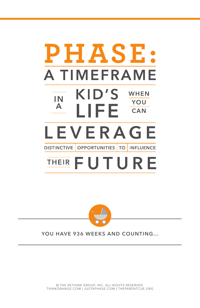## **PHASE: A TIMEFRAME** KID'S WHEN IN YOU  $\blacktriangle$ LIFE. **CAN LEVERAGE** DISTINCTIVE OPPORTUNITIES TO INFLUENCE **TO ONE**



**YOU HAVE 936 WEEKS AND COUNTING...**

© THE RETHINK GROUP, INC. ALL RIGHTS RESERVED. THINKORANGE.COM | JUSTAPHASE.COM | THEPARENTCUE.ORG